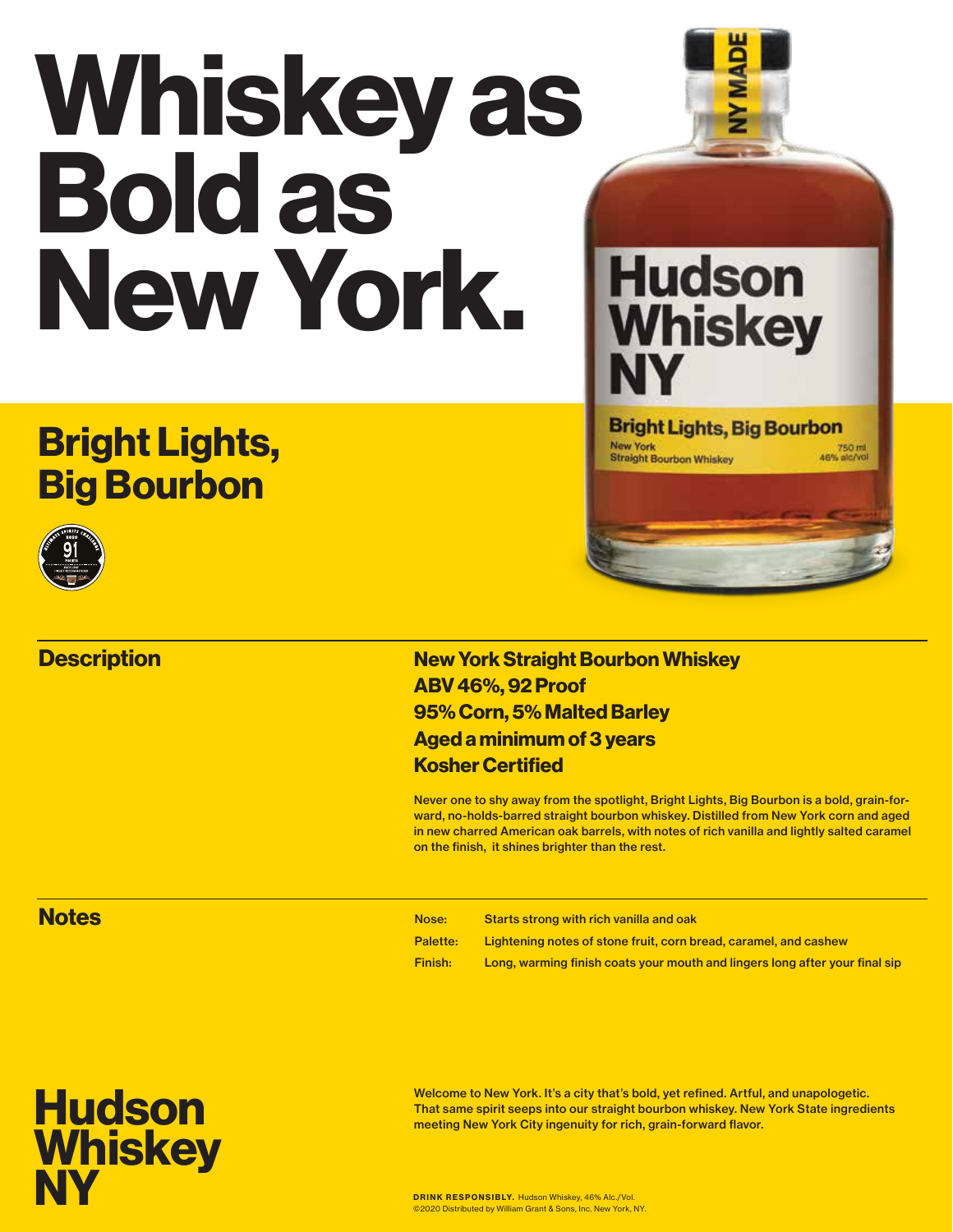# Whiskey as Bold as New York.

## Bright Lights, Big Bourbon



#### **Description**

#### New York Straight Bourbon Whiskey ABV 46%, 92 Proof 95% Corn, 5% Malted Barley Aged a minimum of 3 years Kosher Certified

Never one to shy away from the spotlight, Bright Lights, Big Bourbon is a bold, grain-forward, no-holds-barred straight bourbon whiskey. Distilled from New York corn and aged in new charred American oak barrels, with notes of rich vanilla and lightly salted caramel on the finish, it shines brighter than the rest.

**Hudson** 

**Whiskey** 

**Bright Lights, Big Bourbon** 

**New York** 

**Straight Bourbon Whiskey** 

750 ml<br>46% alc/vol

#### **Notes**

| Nose:           | Starts strong with rich vanilla and oak                                     |
|-----------------|-----------------------------------------------------------------------------|
| <b>Palette:</b> | Lightening notes of stone fruit, corn bread, caramel, and cashew            |
| Finish:         | Long, warming finish coats your mouth and lingers long after your final sip |



Welcome to New York. It's a city that's bold, yet refined. Artful, and unapologetic. That same spirit seeps into our straight bourbon whiskey. New York State ingredients meeting New York City ingenuity for rich, grain-forward flavor.

DRINK RESPONSIBLY. Hudson Whiskey, 46% Alc./Vol. ©2020 Distributed by William Grant & Sons, Inc. New York, NY.